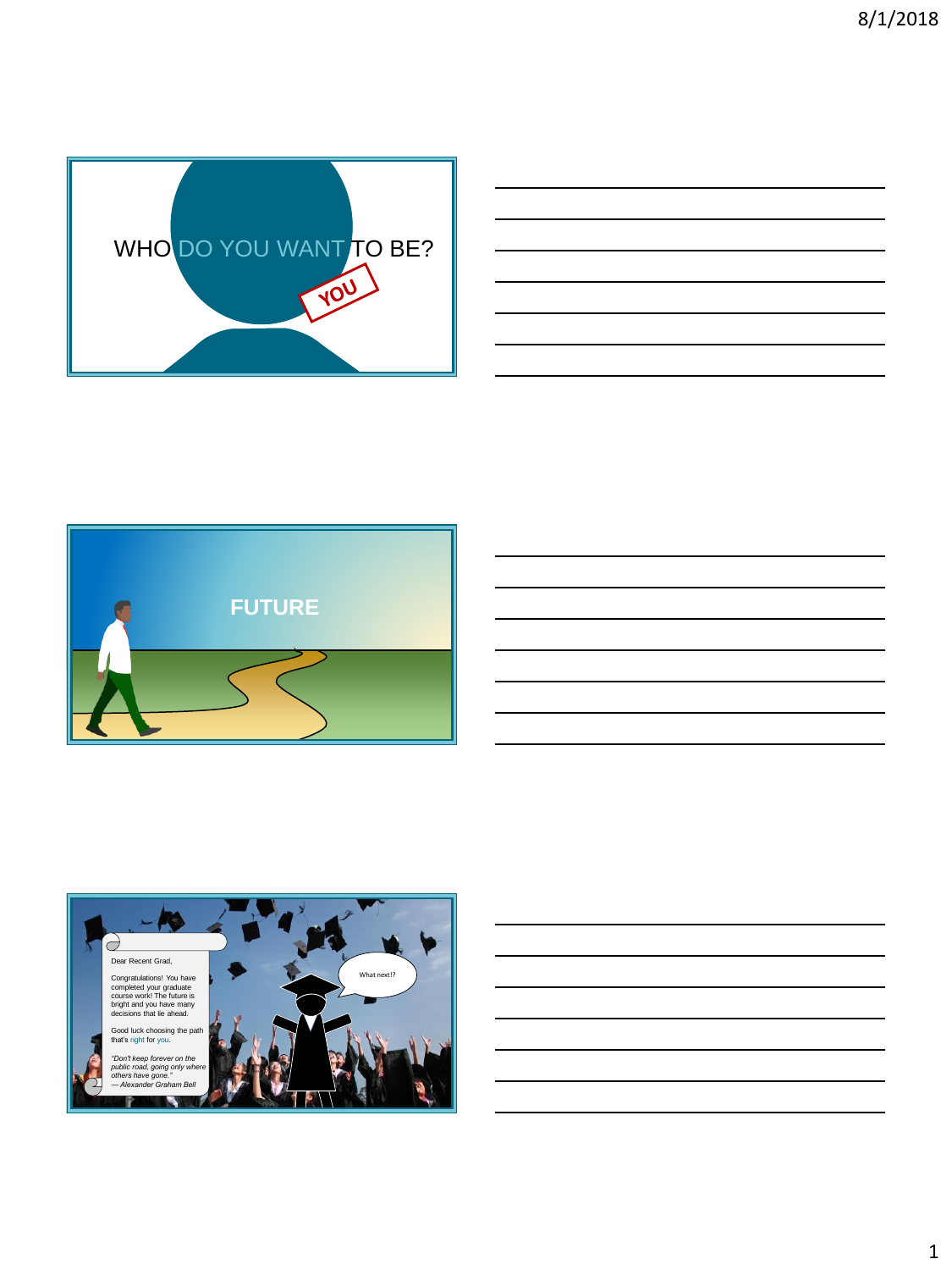





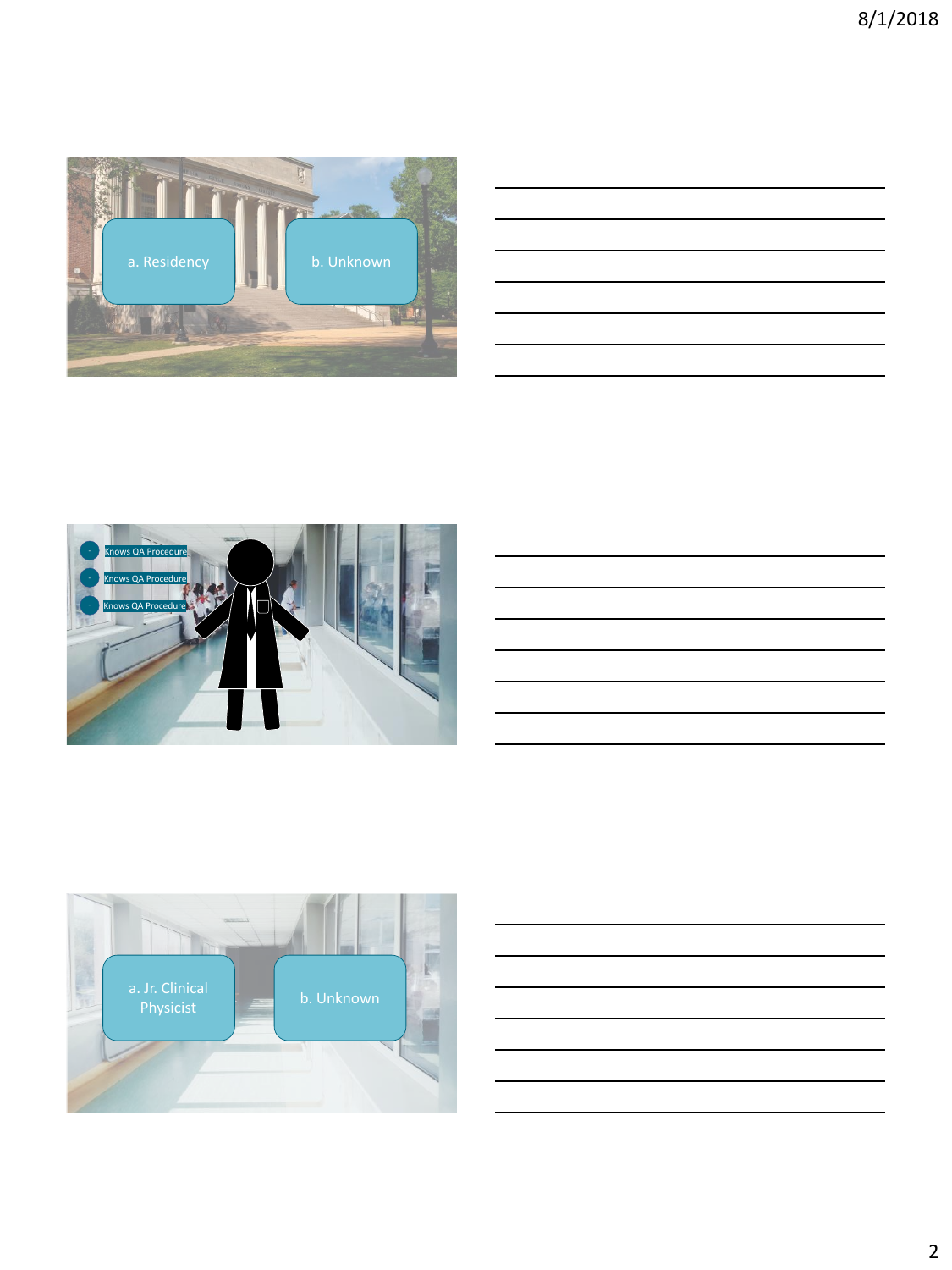<span id="page-1-0"></span>

| <u> 1989 - Johann Stoff, deutscher Stoff, der Stoff, der Stoff, der Stoff, der Stoff, der Stoff, der Stoff, der S</u> |  |  |
|-----------------------------------------------------------------------------------------------------------------------|--|--|
|                                                                                                                       |  |  |
| <u> 1989 - Johann Stoff, amerikansk politiker (d. 1989)</u>                                                           |  |  |
| <u> 1989 - Johann Stoff, deutscher Stoff, der Stoff, der Stoff, der Stoff, der Stoff, der Stoff, der Stoff, der S</u> |  |  |
| <u> 1989 - Johann Stoff, deutscher Stoffen und der Stoffen und der Stoffen und der Stoffen und der Stoffen und de</u> |  |  |
|                                                                                                                       |  |  |







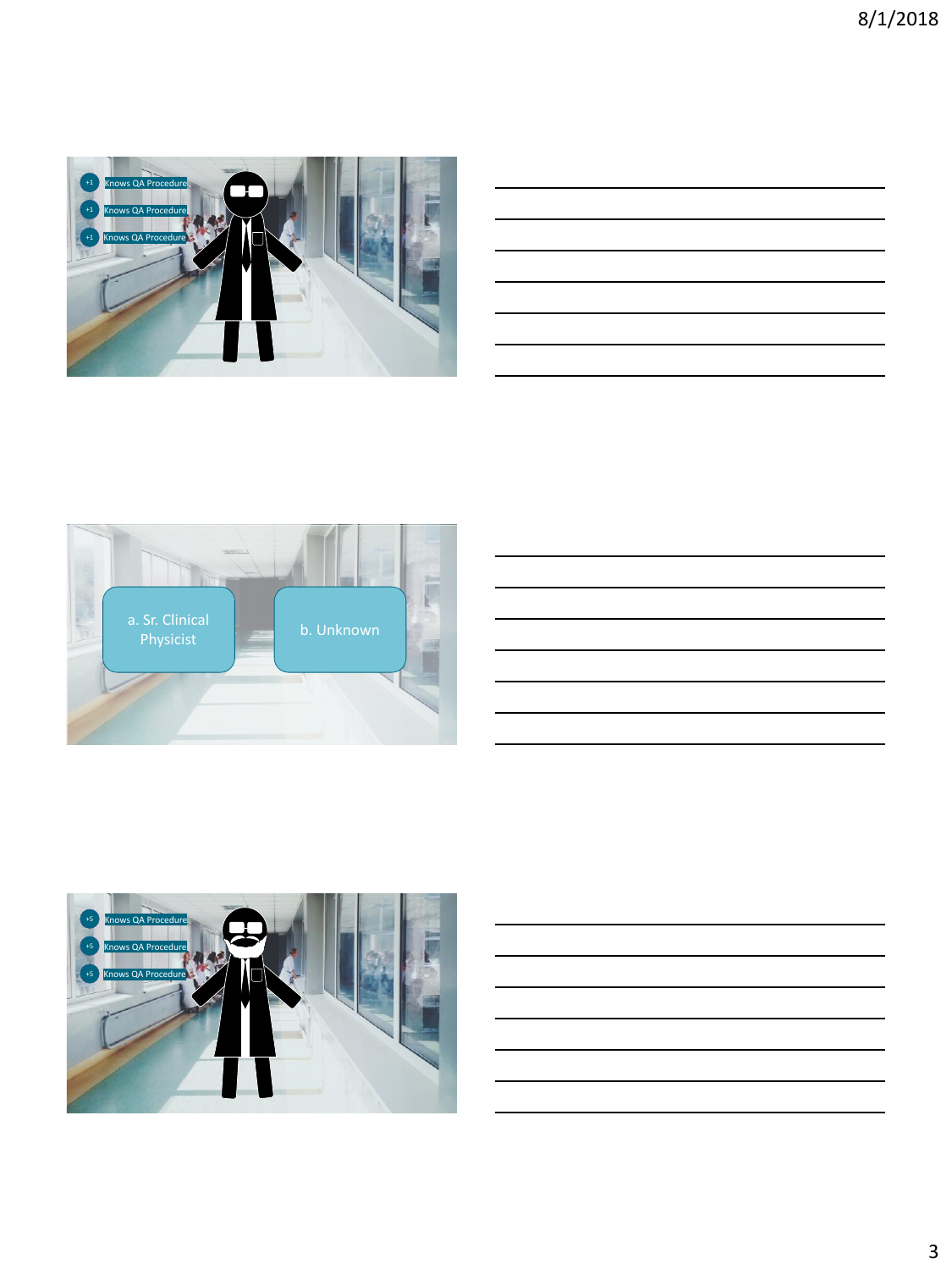<span id="page-2-0"></span>

|                                                                                                 | the contract of the contract of the contract of the contract of the contract of |  |  |  |
|-------------------------------------------------------------------------------------------------|---------------------------------------------------------------------------------|--|--|--|
|                                                                                                 |                                                                                 |  |  |  |
|                                                                                                 |                                                                                 |  |  |  |
| the contract of the contract of the contract of the contract of the contract of the contract of |                                                                                 |  |  |  |
|                                                                                                 |                                                                                 |  |  |  |
|                                                                                                 |                                                                                 |  |  |  |
|                                                                                                 |                                                                                 |  |  |  |
|                                                                                                 |                                                                                 |  |  |  |
|                                                                                                 |                                                                                 |  |  |  |
|                                                                                                 |                                                                                 |  |  |  |
|                                                                                                 |                                                                                 |  |  |  |
|                                                                                                 |                                                                                 |  |  |  |
|                                                                                                 |                                                                                 |  |  |  |
|                                                                                                 |                                                                                 |  |  |  |
|                                                                                                 |                                                                                 |  |  |  |
|                                                                                                 |                                                                                 |  |  |  |
|                                                                                                 |                                                                                 |  |  |  |
|                                                                                                 |                                                                                 |  |  |  |
|                                                                                                 |                                                                                 |  |  |  |





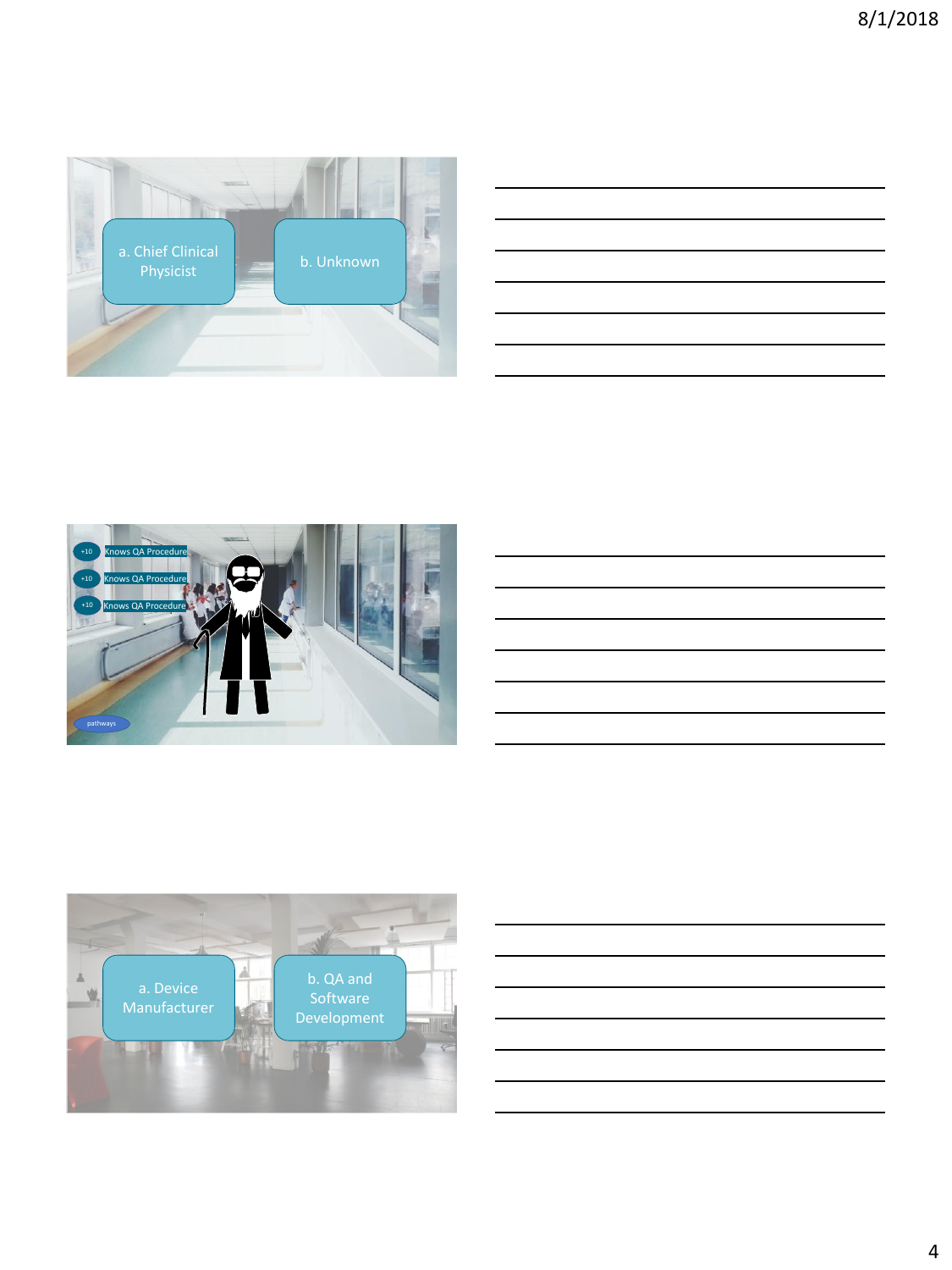<span id="page-3-0"></span>

|                                                                                                                       |  | <u> 1989 - Johann Stoff, amerikansk politiker (d. 1989)</u> |
|-----------------------------------------------------------------------------------------------------------------------|--|-------------------------------------------------------------|
| the contract of the contract of the contract of the contract of the contract of the contract of the contract of       |  |                                                             |
| <u> 1989 - Johann Barn, amerikan bernama di sebagai pengaran bernama dan bernama dalam pengaran bernama dalam pe</u>  |  |                                                             |
| <u> 1989 - Johann Stoff, deutscher Stoff, der Stoff, der Stoff, der Stoff, der Stoff, der Stoff, der Stoff, der S</u> |  |                                                             |
| the contract of the contract of the contract of the contract of the contract of the contract of the contract of       |  |                                                             |
|                                                                                                                       |  |                                                             |
|                                                                                                                       |  |                                                             |







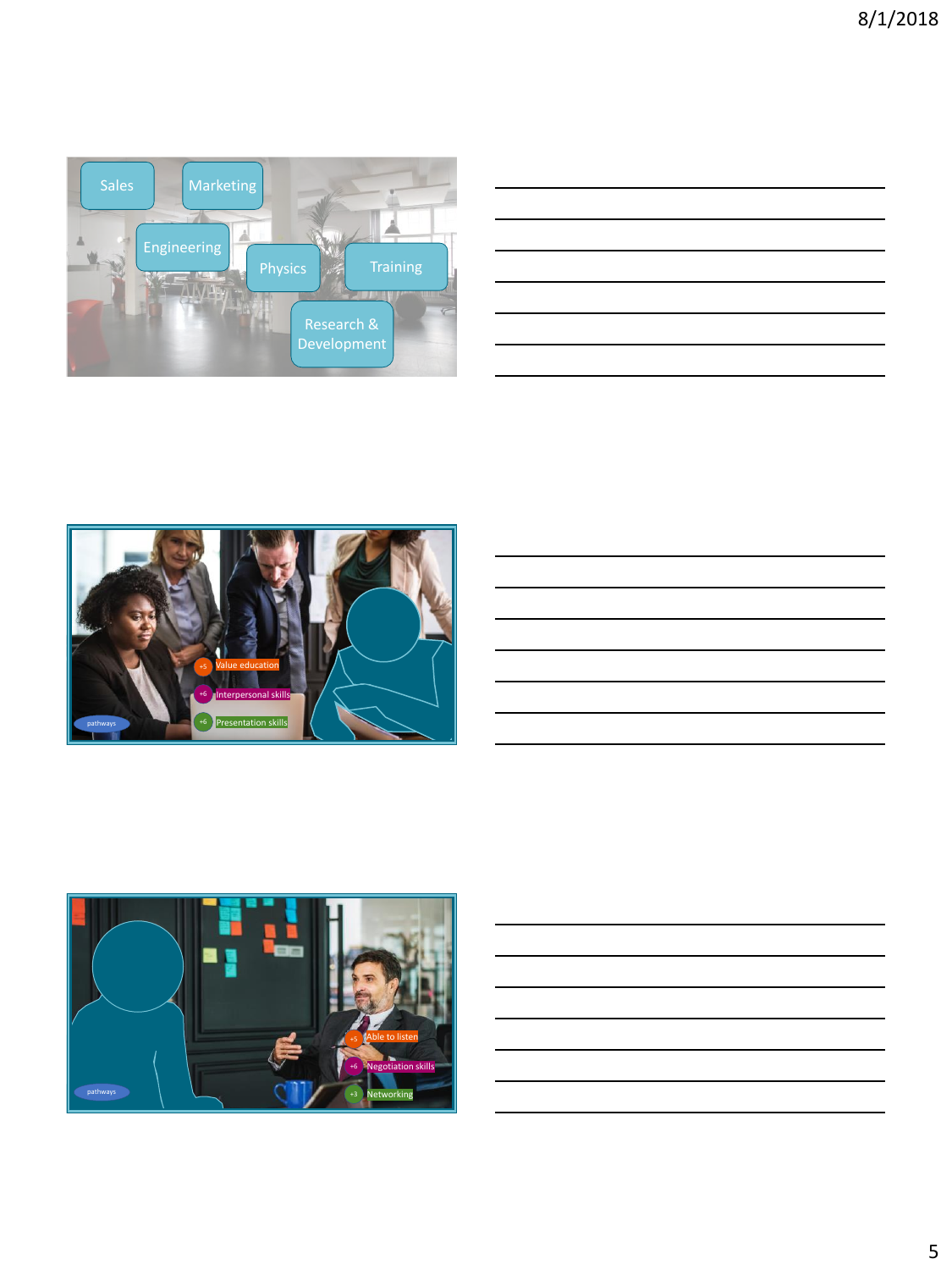<span id="page-4-0"></span>

| <u> 1989 - Andrea Barbara, amerikana amerikana amerikana amerikana amerikana amerikana amerikana amerikana amerika</u> |  | the contract of the contract of |
|------------------------------------------------------------------------------------------------------------------------|--|---------------------------------|
|                                                                                                                        |  |                                 |
|                                                                                                                        |  |                                 |
|                                                                                                                        |  |                                 |
| <u> 1989 - Johann Stein, markin sanadi masjid ayyı bir alan sahip ayyı yazar alan sahip ayyı yazar alan sahip ay</u>   |  |                                 |
|                                                                                                                        |  |                                 |
|                                                                                                                        |  |                                 |
|                                                                                                                        |  |                                 |
|                                                                                                                        |  |                                 |
|                                                                                                                        |  |                                 |
| the contract of the contract of the contract of the contract of the contract of                                        |  |                                 |
|                                                                                                                        |  |                                 |
|                                                                                                                        |  |                                 |





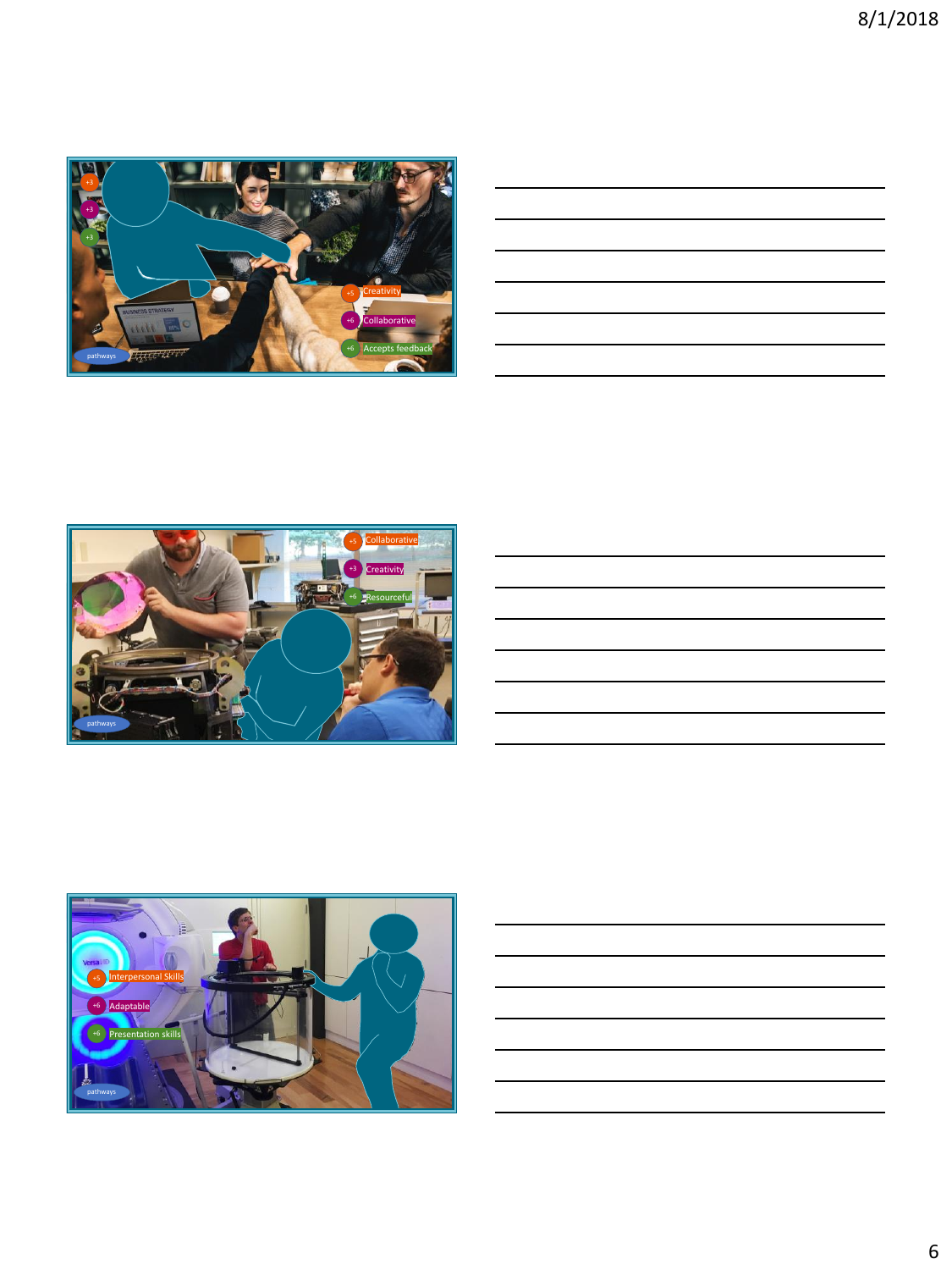<span id="page-5-0"></span>

| <u> 1989 - Johann Stoff, deutscher Stoff, der Stoff, der Stoff, der Stoff, der Stoff, der Stoff, der Stoff, der S</u> |  |  |
|-----------------------------------------------------------------------------------------------------------------------|--|--|
|                                                                                                                       |  |  |
| <u> 1989 - Johann Stoff, amerikansk politiker (d. 1989)</u>                                                           |  |  |
| <u> 1989 - Johann Stoff, deutscher Stoff, der Stoff, der Stoff, der Stoff, der Stoff, der Stoff, der Stoff, der S</u> |  |  |
| <u> 1989 - Johann Stoff, deutscher Stoffen und der Stoffen und der Stoffen und der Stoffen und der Stoffen und de</u> |  |  |
|                                                                                                                       |  |  |





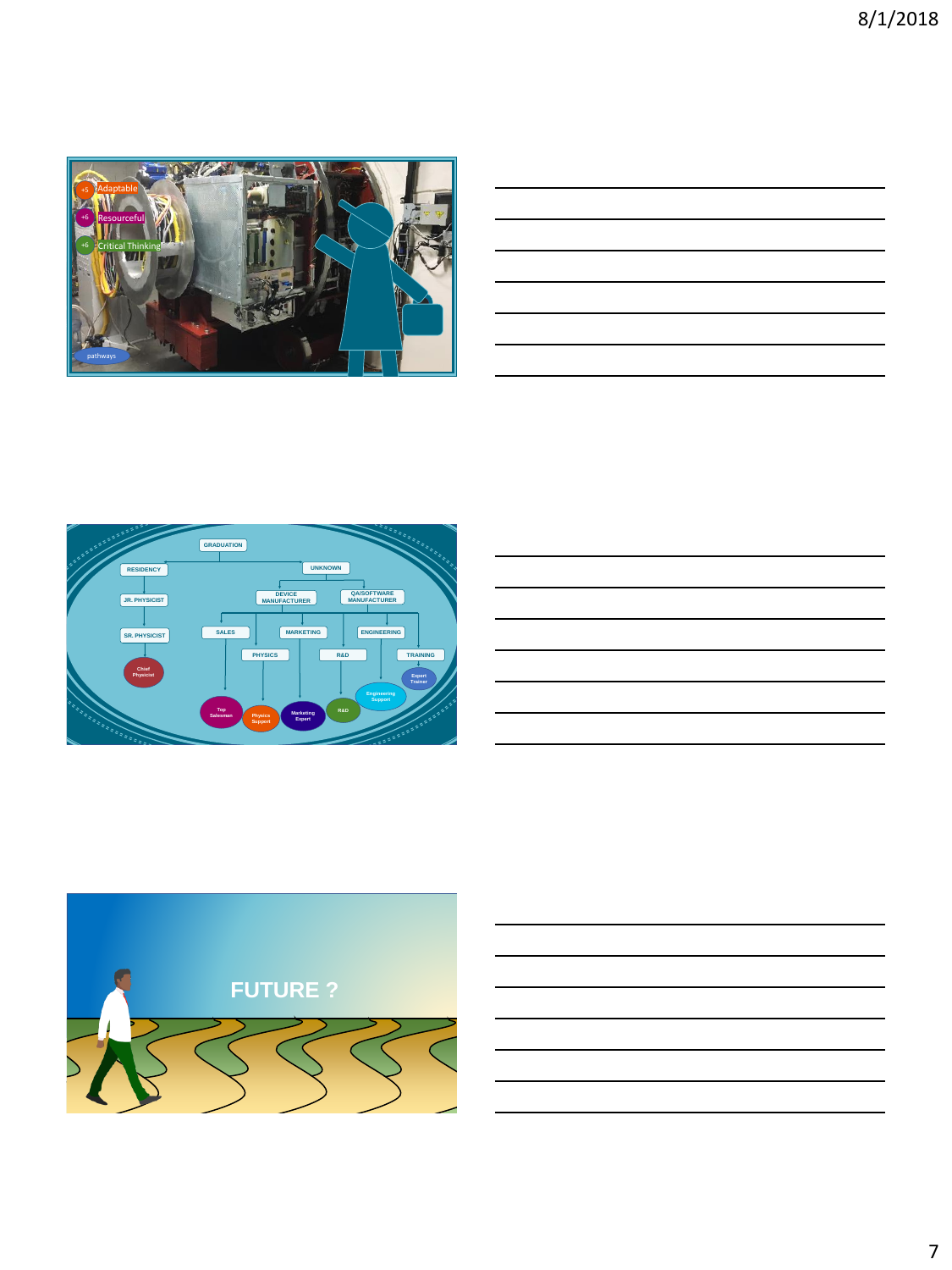<span id="page-6-0"></span>

| <u> 1989 - Johann Stoff, amerikansk politiker (d. 1989)</u>                                                                                                                                                                   |  |  |
|-------------------------------------------------------------------------------------------------------------------------------------------------------------------------------------------------------------------------------|--|--|
| <u> 1989 - Johann Stoff, amerikansk politiker (d. 1989)</u>                                                                                                                                                                   |  |  |
|                                                                                                                                                                                                                               |  |  |
| <u> 1989 - Andrea Santa Andrea Andrea Andrea Andrea Andrea Andrea Andrea Andrea Andrea Andrea Andrea Andrea Andr</u>                                                                                                          |  |  |
| the control of the control of the control of the control of the control of the control of the control of the control of the control of the control of the control of the control of the control of the control of the control |  |  |
|                                                                                                                                                                                                                               |  |  |
|                                                                                                                                                                                                                               |  |  |







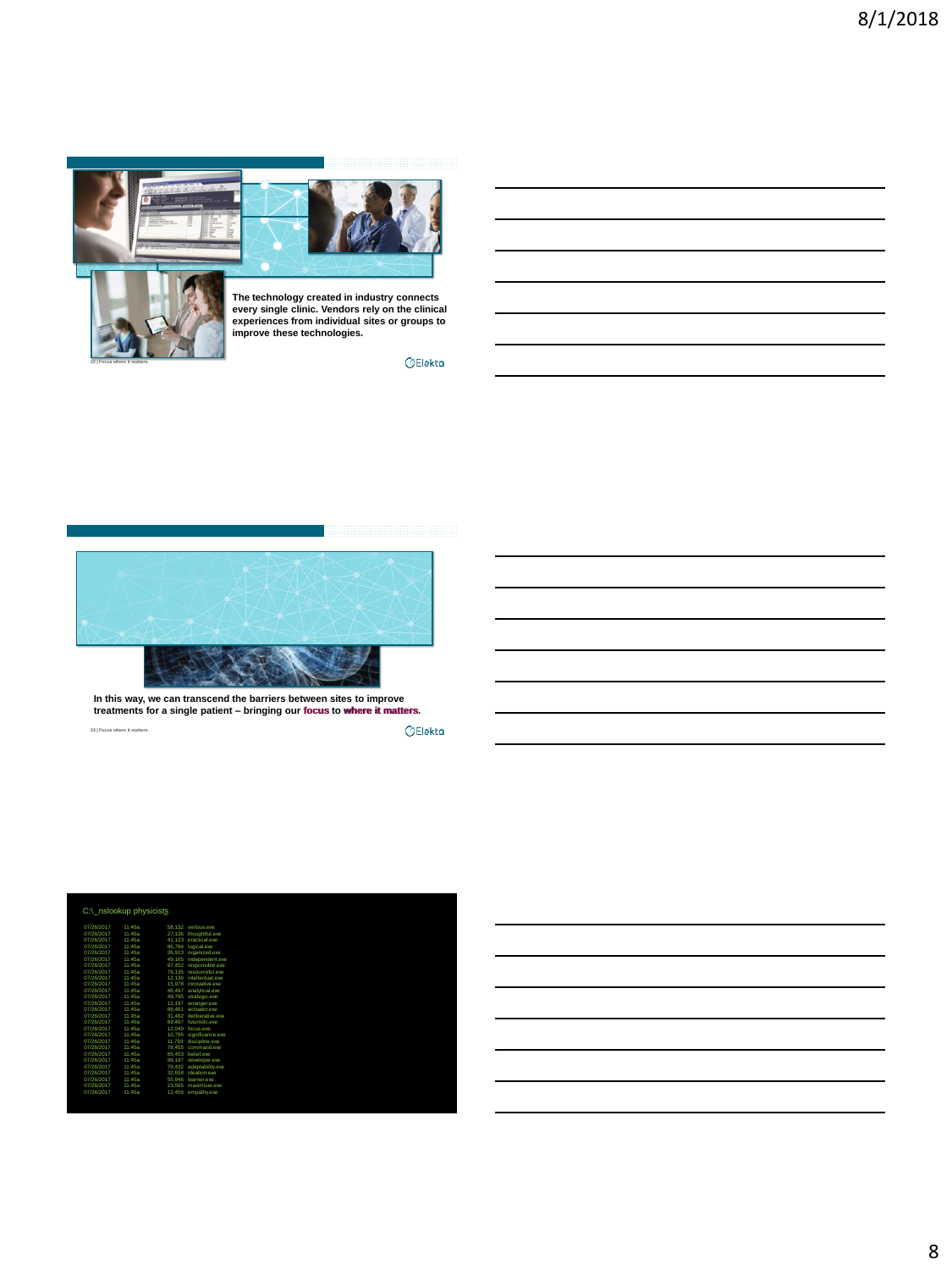

**22 | Focus where it matters.**

**The technology created in industry connects every single clinic. Vendors rely on the clinical experiences from individual sites or groups to improve these technologies.**

 $\bigcirc$ Elekta



**23 | Focus where it matters. In this way, we can transcend the barriers between sites to improve treatments for a single patient – bringing our focus to where it matters. focus where it matters**

 $\Diamond$ Elekta